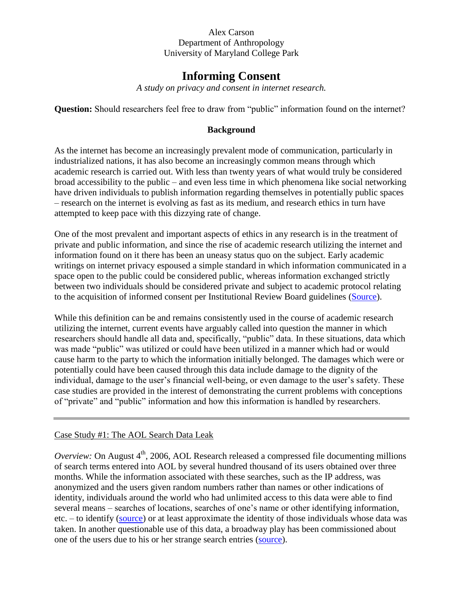# **Informing Consent**

*A study on privacy and consent in internet research.*

**Question:** Should researchers feel free to draw from "public" information found on the internet?

## **Background**

As the internet has become an increasingly prevalent mode of communication, particularly in industrialized nations, it has also become an increasingly common means through which academic research is carried out. With less than twenty years of what would truly be considered broad accessibility to the public – and even less time in which phenomena like social networking have driven individuals to publish information regarding themselves in potentially public spaces – research on the internet is evolving as fast as its medium, and research ethics in turn have attempted to keep pace with this dizzying rate of change.

One of the most prevalent and important aspects of ethics in any research is in the treatment of private and public information, and since the rise of academic research utilizing the internet and information found on it there has been an uneasy status quo on the subject. Early academic writings on internet privacy espoused a simple standard in which information communicated in a space open to the public could be considered public, whereas information exchanged strictly between two individuals should be considered private and subject to academic protocol relating to the acquisition of informed consent per Institutional Review Board guidelines [\(Source\)](http://jcmc.indiana.edu/vol3/issue1/paccagnella.html).

While this definition can be and remains consistently used in the course of academic research utilizing the internet, current events have arguably called into question the manner in which researchers should handle all data and, specifically, "public" data. In these situations, data which was made "public" was utilized or could have been utilized in a manner which had or would cause harm to the party to which the information initially belonged. The damages which were or potentially could have been caused through this data include damage to the dignity of the individual, damage to the user's financial well-being, or even damage to the user's safety. These case studies are provided in the interest of demonstrating the current problems with conceptions of "private" and "public" information and how this information is handled by researchers.

# Case Study #1: The AOL Search Data Leak

*Overview:* On August  $4<sup>th</sup>$ , 2006, AOL Research released a compressed file documenting millions of search terms entered into AOL by several hundred thousand of its users obtained over three months. While the information associated with these searches, such as the IP address, was anonymized and the users given random numbers rather than names or other indications of identity, individuals around the world who had unlimited access to this data were able to find several means – searches of locations, searches of one's name or other identifying information, etc. – to identify [\(source\)](http://select.nytimes.com/gst/abstract.html?res=F10612FC345B0C7A8CDDA10894DE404482) or at least approximate the identity of those individuals whose data was taken. In another questionable use of this data, a broadway play has been commissioned about one of the users due to his or her strange search entries [\(source\)](http://searchengineland.com/aols-leaked-searches-get-turned-into-play-user-927-14065).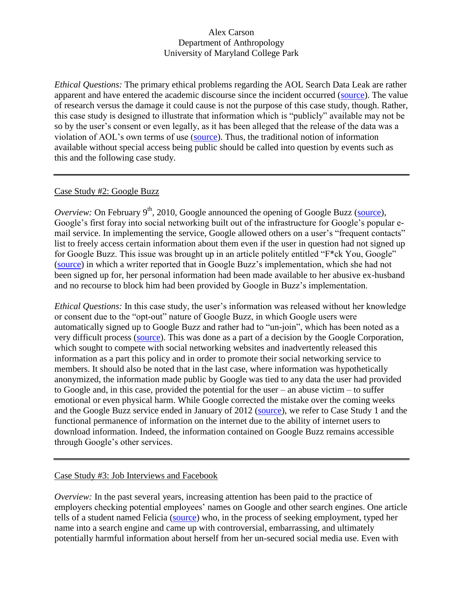*Ethical Questions:* The primary ethical problems regarding the AOL Search Data Leak are rather apparent and have entered the academic discourse since the incident occurred [\(source\)](http://www.nytimes.com/2006/08/23/technology/23search.html?_r=2&ex=1313985600&en=cc878412ed34dad0&ei=5088&partner=rssnyt&emc=rss). The value of research versus the damage it could cause is not the purpose of this case study, though. Rather, this case study is designed to illustrate that information which is "publicly" available may not be so by the user's consent or even legally, as it has been alleged that the release of the data was a violation of AOL's own terms of use [\(source\)](http://arstechnica.com/business/2006/09/7835/). Thus, the traditional notion of information available without special access being public should be called into question by events such as this and the following case study.

## Case Study #2: Google Buzz

*Overview:* On February  $9<sup>th</sup>$ , 2010, Google announced the opening of Google Buzz [\(source\)](http://googleblog.blogspot.com/2010/02/introducing-google-buzz.html), Google's first foray into social networking built out of the infrastructure for Google's popular email service. In implementing the service, Google allowed others on a user's "frequent contacts" list to freely access certain information about them even if the user in question had not signed up for Google Buzz. This issue was brought up in an article politely entitled "F\*ck You, Google" [\(source\)](http://gizmodo.com/5470696/fck-you-google) in which a writer reported that in Google Buzz's implementation, which she had not been signed up for, her personal information had been made available to her abusive ex-husband and no recourse to block him had been provided by Google in Buzz's implementation.

*Ethical Questions:* In this case study, the user's information was released without her knowledge or consent due to the "opt-out" nature of Google Buzz, in which Google users were automatically signed up to Google Buzz and rather had to "un-join", which has been noted as a very difficult process [\(source\)](http://www.stlr.org/2010/02/google-buzz-a-recap-of-the-controversy-and-the-current-legal-issues/). This was done as a part of a decision by the Google Corporation, which sought to compete with social networking websites and inadvertently released this information as a part this policy and in order to promote their social networking service to members. It should also be noted that in the last case, where information was hypothetically anonymized, the information made public by Google was tied to any data the user had provided to Google and, in this case, provided the potential for the user – an abuse victim – to suffer emotional or even physical harm. While Google corrected the mistake over the coming weeks and the Google Buzz service ended in January of 2012 [\(source\)](http://siliconangle.com/blog/2011/10/19/the-end-of-a-story-google-buzz/), we refer to Case Study 1 and the functional permanence of information on the internet due to the ability of internet users to download information. Indeed, the information contained on Google Buzz remains accessible through Google's other services.

## Case Study #3: Job Interviews and Facebook

*Overview:* In the past several years, increasing attention has been paid to the practice of employers checking potential employees' names on Google and other search engines. One article tells of a student named Felicia [\(source\)](http://www.simugator.com/blog/2011/01/02/net-trail-internet-reputation-management/) who, in the process of seeking employment, typed her name into a search engine and came up with controversial, embarrassing, and ultimately potentially harmful information about herself from her un-secured social media use. Even with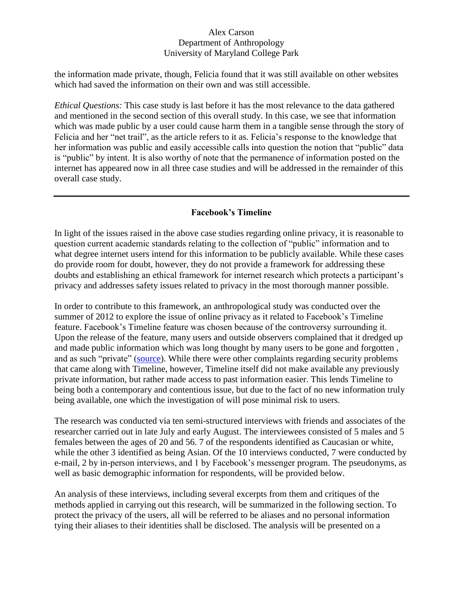the information made private, though, Felicia found that it was still available on other websites which had saved the information on their own and was still accessible.

*Ethical Questions:* This case study is last before it has the most relevance to the data gathered and mentioned in the second section of this overall study. In this case, we see that information which was made public by a user could cause harm them in a tangible sense through the story of Felicia and her "net trail", as the article refers to it as. Felicia's response to the knowledge that her information was public and easily accessible calls into question the notion that "public" data is "public" by intent. It is also worthy of note that the permanence of information posted on the internet has appeared now in all three case studies and will be addressed in the remainder of this overall case study.

# **Facebook's Timeline**

In light of the issues raised in the above case studies regarding online privacy, it is reasonable to question current academic standards relating to the collection of "public" information and to what degree internet users intend for this information to be publicly available. While these cases do provide room for doubt, however, they do not provide a framework for addressing these doubts and establishing an ethical framework for internet research which protects a participant's privacy and addresses safety issues related to privacy in the most thorough manner possible.

In order to contribute to this framework, an anthropological study was conducted over the summer of 2012 to explore the issue of online privacy as it related to Facebook's Timeline feature. Facebook's Timeline feature was chosen because of the controversy surrounding it. Upon the release of the feature, many users and outside observers complained that it dredged up and made public information which was long thought by many users to be gone and forgotten , and as such "private" [\(source\)](http://www.pcworld.com/article/249019/facebook_timeline_privacy_tips_lock_down_your_profile.html). While there were other complaints regarding security problems that came along with Timeline, however, Timeline itself did not make available any previously private information, but rather made access to past information easier. This lends Timeline to being both a contemporary and contentious issue, but due to the fact of no new information truly being available, one which the investigation of will pose minimal risk to users.

The research was conducted via ten semi-structured interviews with friends and associates of the researcher carried out in late July and early August. The interviewees consisted of 5 males and 5 females between the ages of 20 and 56. 7 of the respondents identified as Caucasian or white, while the other 3 identified as being Asian. Of the 10 interviews conducted, 7 were conducted by e-mail, 2 by in-person interviews, and 1 by Facebook's messenger program. The pseudonyms, as well as basic demographic information for respondents, will be provided below.

An analysis of these interviews, including several excerpts from them and critiques of the methods applied in carrying out this research, will be summarized in the following section. To protect the privacy of the users, all will be referred to be aliases and no personal information tying their aliases to their identities shall be disclosed. The analysis will be presented on a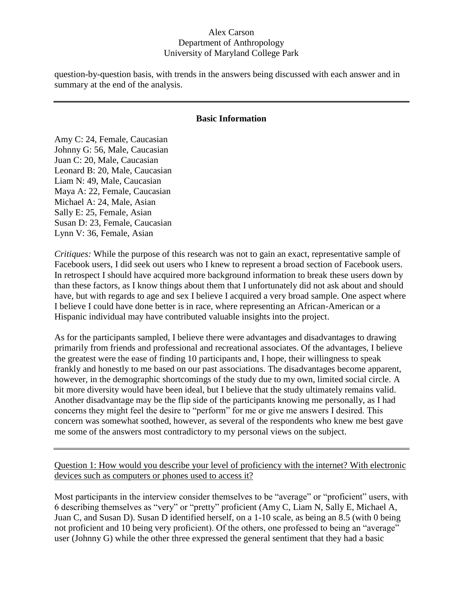question-by-question basis, with trends in the answers being discussed with each answer and in summary at the end of the analysis.

#### **Basic Information**

Amy C: 24, Female, Caucasian Johnny G: 56, Male, Caucasian Juan C: 20, Male, Caucasian Leonard B: 20, Male, Caucasian Liam N: 49, Male, Caucasian Maya A: 22, Female, Caucasian Michael A: 24, Male, Asian Sally E: 25, Female, Asian Susan D: 23, Female, Caucasian Lynn V: 36, Female, Asian

*Critiques:* While the purpose of this research was not to gain an exact, representative sample of Facebook users, I did seek out users who I knew to represent a broad section of Facebook users. In retrospect I should have acquired more background information to break these users down by than these factors, as I know things about them that I unfortunately did not ask about and should have, but with regards to age and sex I believe I acquired a very broad sample. One aspect where I believe I could have done better is in race, where representing an African-American or a Hispanic individual may have contributed valuable insights into the project.

As for the participants sampled, I believe there were advantages and disadvantages to drawing primarily from friends and professional and recreational associates. Of the advantages, I believe the greatest were the ease of finding 10 participants and, I hope, their willingness to speak frankly and honestly to me based on our past associations. The disadvantages become apparent, however, in the demographic shortcomings of the study due to my own, limited social circle. A bit more diversity would have been ideal, but I believe that the study ultimately remains valid. Another disadvantage may be the flip side of the participants knowing me personally, as I had concerns they might feel the desire to "perform" for me or give me answers I desired. This concern was somewhat soothed, however, as several of the respondents who knew me best gave me some of the answers most contradictory to my personal views on the subject.

Question 1: How would you describe your level of proficiency with the internet? With electronic devices such as computers or phones used to access it?

Most participants in the interview consider themselves to be "average" or "proficient" users, with 6 describing themselves as "very" or "pretty" proficient (Amy C, Liam N, Sally E, Michael A, Juan C, and Susan D). Susan D identified herself, on a 1-10 scale, as being an 8.5 (with 0 being not proficient and 10 being very proficient). Of the others, one professed to being an "average" user (Johnny G) while the other three expressed the general sentiment that they had a basic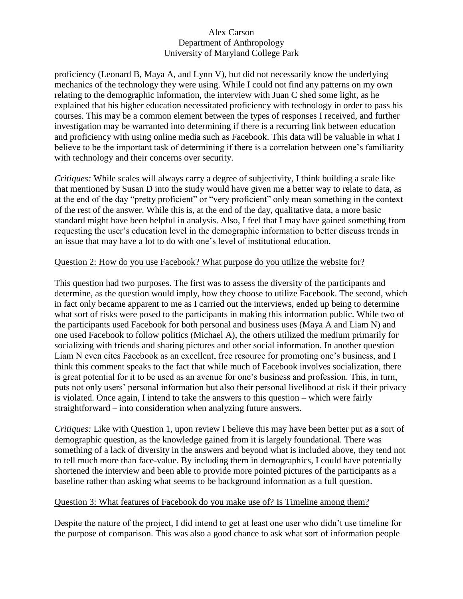proficiency (Leonard B, Maya A, and Lynn V), but did not necessarily know the underlying mechanics of the technology they were using. While I could not find any patterns on my own relating to the demographic information, the interview with Juan C shed some light, as he explained that his higher education necessitated proficiency with technology in order to pass his courses. This may be a common element between the types of responses I received, and further investigation may be warranted into determining if there is a recurring link between education and proficiency with using online media such as Facebook. This data will be valuable in what I believe to be the important task of determining if there is a correlation between one's familiarity with technology and their concerns over security.

*Critiques:* While scales will always carry a degree of subjectivity, I think building a scale like that mentioned by Susan D into the study would have given me a better way to relate to data, as at the end of the day "pretty proficient" or "very proficient" only mean something in the context of the rest of the answer. While this is, at the end of the day, qualitative data, a more basic standard might have been helpful in analysis. Also, I feel that I may have gained something from requesting the user's education level in the demographic information to better discuss trends in an issue that may have a lot to do with one's level of institutional education.

## Question 2: How do you use Facebook? What purpose do you utilize the website for?

This question had two purposes. The first was to assess the diversity of the participants and determine, as the question would imply, how they choose to utilize Facebook. The second, which in fact only became apparent to me as I carried out the interviews, ended up being to determine what sort of risks were posed to the participants in making this information public. While two of the participants used Facebook for both personal and business uses (Maya A and Liam N) and one used Facebook to follow politics (Michael A), the others utilized the medium primarily for socializing with friends and sharing pictures and other social information. In another question Liam N even cites Facebook as an excellent, free resource for promoting one's business, and I think this comment speaks to the fact that while much of Facebook involves socialization, there is great potential for it to be used as an avenue for one's business and profession. This, in turn, puts not only users' personal information but also their personal livelihood at risk if their privacy is violated. Once again, I intend to take the answers to this question – which were fairly straightforward – into consideration when analyzing future answers.

*Critiques:* Like with Question 1, upon review I believe this may have been better put as a sort of demographic question, as the knowledge gained from it is largely foundational. There was something of a lack of diversity in the answers and beyond what is included above, they tend not to tell much more than face-value. By including them in demographics, I could have potentially shortened the interview and been able to provide more pointed pictures of the participants as a baseline rather than asking what seems to be background information as a full question.

## Question 3: What features of Facebook do you make use of? Is Timeline among them?

Despite the nature of the project, I did intend to get at least one user who didn't use timeline for the purpose of comparison. This was also a good chance to ask what sort of information people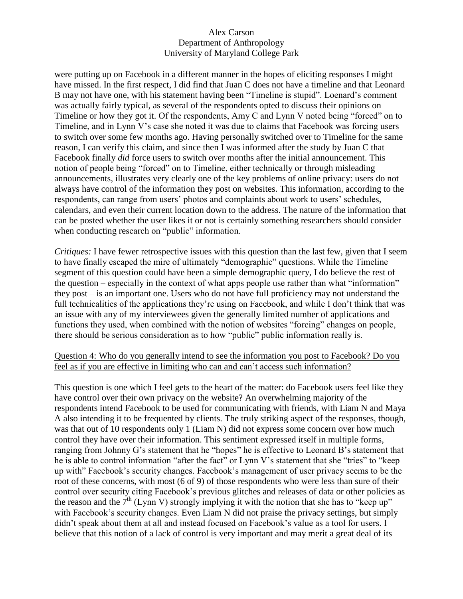were putting up on Facebook in a different manner in the hopes of eliciting responses I might have missed. In the first respect, I did find that Juan C does not have a timeline and that Leonard B may not have one, with his statement having been "Timeline is stupid". Loenard's comment was actually fairly typical, as several of the respondents opted to discuss their opinions on Timeline or how they got it. Of the respondents, Amy C and Lynn V noted being "forced" on to Timeline, and in Lynn V's case she noted it was due to claims that Facebook was forcing users to switch over some few months ago. Having personally switched over to Timeline for the same reason, I can verify this claim, and since then I was informed after the study by Juan C that Facebook finally *did* force users to switch over months after the initial announcement. This notion of people being "forced" on to Timeline, either technically or through misleading announcements, illustrates very clearly one of the key problems of online privacy: users do not always have control of the information they post on websites. This information, according to the respondents, can range from users' photos and complaints about work to users' schedules, calendars, and even their current location down to the address. The nature of the information that can be posted whether the user likes it or not is certainly something researchers should consider when conducting research on "public" information.

*Critiques:* I have fewer retrospective issues with this question than the last few, given that I seem to have finally escaped the mire of ultimately "demographic" questions. While the Timeline segment of this question could have been a simple demographic query, I do believe the rest of the question – especially in the context of what apps people use rather than what "information" they post – is an important one. Users who do not have full proficiency may not understand the full technicalities of the applications they're using on Facebook, and while I don't think that was an issue with any of my interviewees given the generally limited number of applications and functions they used, when combined with the notion of websites "forcing" changes on people, there should be serious consideration as to how "public" public information really is.

## Question 4: Who do you generally intend to see the information you post to Facebook? Do you feel as if you are effective in limiting who can and can't access such information?

This question is one which I feel gets to the heart of the matter: do Facebook users feel like they have control over their own privacy on the website? An overwhelming majority of the respondents intend Facebook to be used for communicating with friends, with Liam N and Maya A also intending it to be frequented by clients. The truly striking aspect of the responses, though, was that out of 10 respondents only 1 (Liam N) did not express some concern over how much control they have over their information. This sentiment expressed itself in multiple forms, ranging from Johnny G's statement that he "hopes" he is effective to Leonard B's statement that he is able to control information "after the fact" or Lynn V's statement that she "tries" to "keep up with" Facebook's security changes. Facebook's management of user privacy seems to be the root of these concerns, with most (6 of 9) of those respondents who were less than sure of their control over security citing Facebook's previous glitches and releases of data or other policies as the reason and the  $7<sup>th</sup>$  (Lynn V) strongly implying it with the notion that she has to "keep up" with Facebook's security changes. Even Liam N did not praise the privacy settings, but simply didn't speak about them at all and instead focused on Facebook's value as a tool for users. I believe that this notion of a lack of control is very important and may merit a great deal of its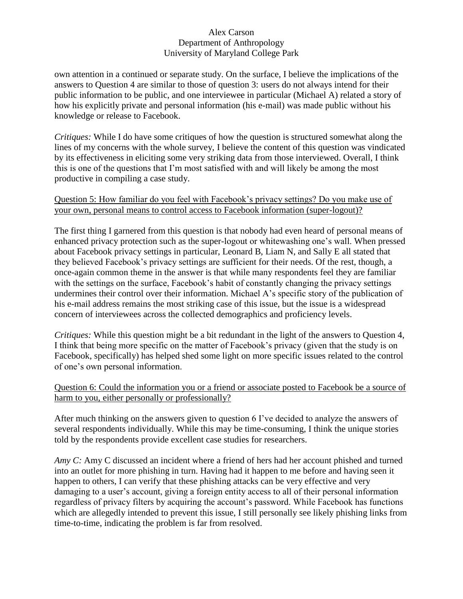own attention in a continued or separate study. On the surface, I believe the implications of the answers to Question 4 are similar to those of question 3: users do not always intend for their public information to be public, and one interviewee in particular (Michael A) related a story of how his explicitly private and personal information (his e-mail) was made public without his knowledge or release to Facebook.

*Critiques:* While I do have some critiques of how the question is structured somewhat along the lines of my concerns with the whole survey, I believe the content of this question was vindicated by its effectiveness in eliciting some very striking data from those interviewed. Overall, I think this is one of the questions that I'm most satisfied with and will likely be among the most productive in compiling a case study.

# Question 5: How familiar do you feel with Facebook's privacy settings? Do you make use of your own, personal means to control access to Facebook information (super-logout)?

The first thing I garnered from this question is that nobody had even heard of personal means of enhanced privacy protection such as the super-logout or whitewashing one's wall. When pressed about Facebook privacy settings in particular, Leonard B, Liam N, and Sally E all stated that they believed Facebook's privacy settings are sufficient for their needs. Of the rest, though, a once-again common theme in the answer is that while many respondents feel they are familiar with the settings on the surface, Facebook's habit of constantly changing the privacy settings undermines their control over their information. Michael A's specific story of the publication of his e-mail address remains the most striking case of this issue, but the issue is a widespread concern of interviewees across the collected demographics and proficiency levels.

*Critiques:* While this question might be a bit redundant in the light of the answers to Question 4, I think that being more specific on the matter of Facebook's privacy (given that the study is on Facebook, specifically) has helped shed some light on more specific issues related to the control of one's own personal information.

## Question 6: Could the information you or a friend or associate posted to Facebook be a source of harm to you, either personally or professionally?

After much thinking on the answers given to question 6 I've decided to analyze the answers of several respondents individually. While this may be time-consuming, I think the unique stories told by the respondents provide excellent case studies for researchers.

*Amy C:* Amy C discussed an incident where a friend of hers had her account phished and turned into an outlet for more phishing in turn. Having had it happen to me before and having seen it happen to others, I can verify that these phishing attacks can be very effective and very damaging to a user's account, giving a foreign entity access to all of their personal information regardless of privacy filters by acquiring the account's password. While Facebook has functions which are allegedly intended to prevent this issue, I still personally see likely phishing links from time-to-time, indicating the problem is far from resolved.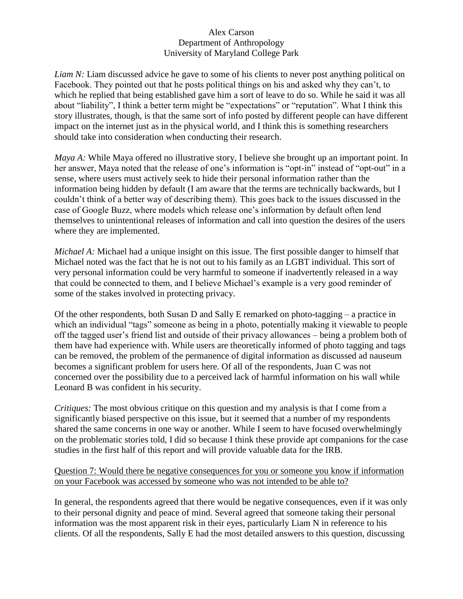*Liam N:* Liam discussed advice he gave to some of his clients to never post anything political on Facebook. They pointed out that he posts political things on his and asked why they can't, to which he replied that being established gave him a sort of leave to do so. While he said it was all about "liability", I think a better term might be "expectations" or "reputation". What I think this story illustrates, though, is that the same sort of info posted by different people can have different impact on the internet just as in the physical world, and I think this is something researchers should take into consideration when conducting their research.

*Maya A:* While Maya offered no illustrative story, I believe she brought up an important point. In her answer, Maya noted that the release of one's information is "opt-in" instead of "opt-out" in a sense, where users must actively seek to hide their personal information rather than the information being hidden by default (I am aware that the terms are technically backwards, but I couldn't think of a better way of describing them). This goes back to the issues discussed in the case of Google Buzz, where models which release one's information by default often lend themselves to unintentional releases of information and call into question the desires of the users where they are implemented.

*Michael A:* Michael had a unique insight on this issue. The first possible danger to himself that Michael noted was the fact that he is not out to his family as an LGBT individual. This sort of very personal information could be very harmful to someone if inadvertently released in a way that could be connected to them, and I believe Michael's example is a very good reminder of some of the stakes involved in protecting privacy.

Of the other respondents, both Susan D and Sally E remarked on photo-tagging – a practice in which an individual "tags" someone as being in a photo, potentially making it viewable to people off the tagged user's friend list and outside of their privacy allowances – being a problem both of them have had experience with. While users are theoretically informed of photo tagging and tags can be removed, the problem of the permanence of digital information as discussed ad nauseum becomes a significant problem for users here. Of all of the respondents, Juan C was not concerned over the possibility due to a perceived lack of harmful information on his wall while Leonard B was confident in his security.

*Critiques:* The most obvious critique on this question and my analysis is that I come from a significantly biased perspective on this issue, but it seemed that a number of my respondents shared the same concerns in one way or another. While I seem to have focused overwhelmingly on the problematic stories told, I did so because I think these provide apt companions for the case studies in the first half of this report and will provide valuable data for the IRB.

## Question 7: Would there be negative consequences for you or someone you know if information on your Facebook was accessed by someone who was not intended to be able to?

In general, the respondents agreed that there would be negative consequences, even if it was only to their personal dignity and peace of mind. Several agreed that someone taking their personal information was the most apparent risk in their eyes, particularly Liam N in reference to his clients. Of all the respondents, Sally E had the most detailed answers to this question, discussing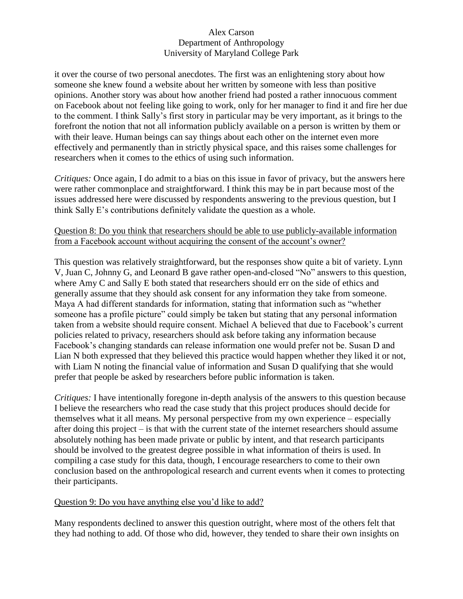it over the course of two personal anecdotes. The first was an enlightening story about how someone she knew found a website about her written by someone with less than positive opinions. Another story was about how another friend had posted a rather innocuous comment on Facebook about not feeling like going to work, only for her manager to find it and fire her due to the comment. I think Sally's first story in particular may be very important, as it brings to the forefront the notion that not all information publicly available on a person is written by them or with their leave. Human beings can say things about each other on the internet even more effectively and permanently than in strictly physical space, and this raises some challenges for researchers when it comes to the ethics of using such information.

*Critiques:* Once again, I do admit to a bias on this issue in favor of privacy, but the answers here were rather commonplace and straightforward. I think this may be in part because most of the issues addressed here were discussed by respondents answering to the previous question, but I think Sally E's contributions definitely validate the question as a whole.

## Question 8: Do you think that researchers should be able to use publicly-available information from a Facebook account without acquiring the consent of the account's owner?

This question was relatively straightforward, but the responses show quite a bit of variety. Lynn V, Juan C, Johnny G, and Leonard B gave rather open-and-closed "No" answers to this question, where Amy C and Sally E both stated that researchers should err on the side of ethics and generally assume that they should ask consent for any information they take from someone. Maya A had different standards for information, stating that information such as "whether someone has a profile picture" could simply be taken but stating that any personal information taken from a website should require consent. Michael A believed that due to Facebook's current policies related to privacy, researchers should ask before taking any information because Facebook's changing standards can release information one would prefer not be. Susan D and Lian N both expressed that they believed this practice would happen whether they liked it or not, with Liam N noting the financial value of information and Susan D qualifying that she would prefer that people be asked by researchers before public information is taken.

*Critiques:* I have intentionally foregone in-depth analysis of the answers to this question because I believe the researchers who read the case study that this project produces should decide for themselves what it all means. My personal perspective from my own experience – especially after doing this project – is that with the current state of the internet researchers should assume absolutely nothing has been made private or public by intent, and that research participants should be involved to the greatest degree possible in what information of theirs is used. In compiling a case study for this data, though, I encourage researchers to come to their own conclusion based on the anthropological research and current events when it comes to protecting their participants.

# Question 9: Do you have anything else you'd like to add?

Many respondents declined to answer this question outright, where most of the others felt that they had nothing to add. Of those who did, however, they tended to share their own insights on